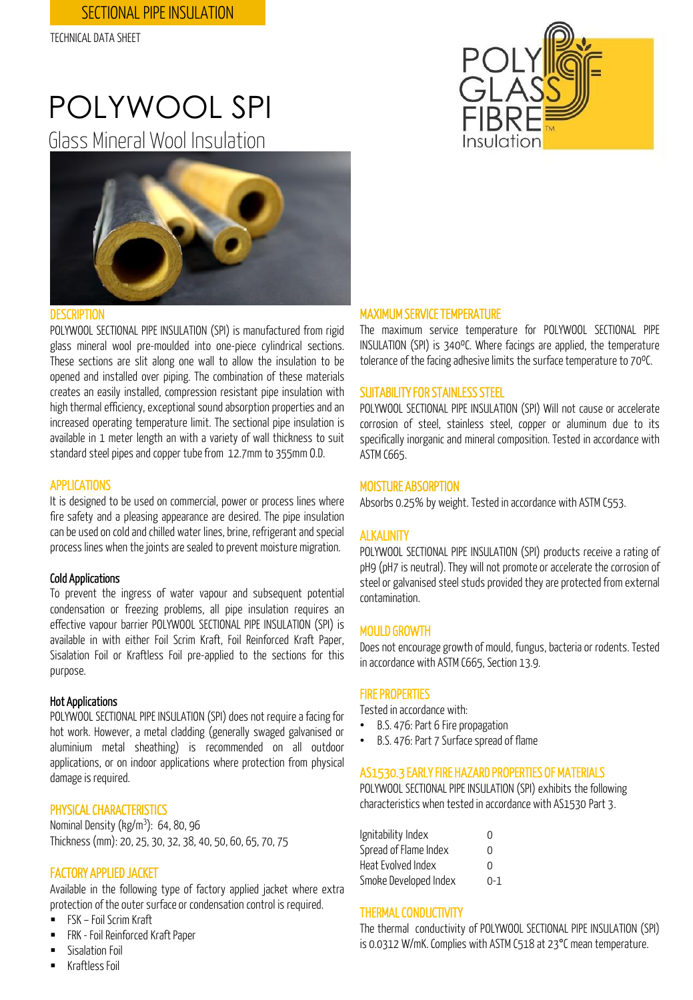# POLYWOOL SPI

Glass Mineral Wool Insulation



#### **DESCRIPTION**

POLYWOOL SECTIONAL PIPE INSULATION (SPI) is manufactured from rigid glass mineral wool pre-moulded into one-piece cylindrical sections. These sections are slit along one wall to allow the insulation to be opened and installed over piping. The combination of these materials creates an easily installed, compression resistant pipe insulation with high thermal efficiency, exceptional sound absorption properties and an increased operating temperature limit. The sectional pipe insulation is available in 1 meter length an with a variety of wall thickness to suit standard steel pipes and copper tube from 12.7mm to 355mm 0.D.

#### APPLICATIONS

It is designed to be used on commercial, power or process lines where fire safety and a pleasing appearance are desired. The pipe insulation can be used on cold and chilled water lines, brine, refrigerant and special process lines when the joints are sealed to prevent moisture migration.

#### Cold Applications

To prevent the ingress of water vapour and subsequent potential condensation or freezing problems, all pipe insulation requires an effective vapour barrier POLYWOOL SECTIONAL PIPE INSULATION (SPI) is available in with either Foil Scrim Kraft, Foil Reinforced Kraft Paper, Sisalation Foil or Kraftless Foil pre-applied to the sections for this purpose.

#### Hot Applications

POLYWOOL SECTIONAL PIPE INSULATION (SPI) does not require a facing for hot work. However, a metal cladding (generally swaged galvanised or aluminium metal sheathing) is recommended on all outdoor applications, or on indoor applications where protection from physical damage is required.

#### PHYSICAL CHARACTERISTICS

Nominal Density (kg/m<sup>3</sup>): 64, 80, 96 Thickness(mm): 20, 25, 30, 32, 38, 40, 50, 60, 65, 70, 75

#### FACTORY APPLIED JACKET

Available in the following type of factory applied jacket where extra protection of the outer surface or condensation control is required.

- FSK Foil Scrim Kraft
- **FRK** Foil Reinforced Kraft Paper
- Sisalation Foil
- KraftlessFoil



#### MAXIMUM SERVICE TEMPERATURE

The maximum service temperature for POLYWOOL SECTIONAL PIPE INSULATION (SPI) is 340ºC. Where facings are applied, the temperature tolerance of the facing adhesive limits the surface temperature to 70°C.

#### SUITABILITY FOR STAINLESS STEEL

POLYWOOL SECTIONAL PIPE INSULATION (SPI) Will not cause or accelerate corrosion of steel, stainless steel, copper or aluminum due to its specifically inorganic and mineral composition. Tested in accordance with ASTM C665.

#### MOISTURE ABSORPTION

Absorbs 0.25% by weight. Tested in accordance with ASTM C553.

#### **ALKALINITY**

POLYWOOL SECTIONAL PIPE INSULATION (SPI) products receive a rating of pH9 (pH7 is neutral). They will not promote or accelerate the corrosion of steel or galvanised steel studs provided they are protected from external contamination.

#### MOULD GROWTH

Does not encourage growth of mould, fungus, bacteria or rodents. Tested in accordance with ASTM C665, Section 13.9.

#### **FIRE PROPERTIES**

Tested in accordance with:

- B.S. 476: Part 6 Fire propagation
- B.S. 476: Part 7 Surface spread of flame

#### AS1530.3 EARLY FIRE HAZARD PROPERTIES OF MATERIALS

POLYWOOL SECTIONAL PIPE INSULATION (SPI) exhibits the following characteristics when tested in accordance with AS1530 Part 3.

| Ignitability Index    | O       |
|-----------------------|---------|
| Spread of Flame Index | U       |
| Heat Evolved Index    | U       |
| Smoke Developed Index | $0 - 1$ |

#### **THERMAL CONDUCTIVITY**

The thermal conductivity of POLYWOOL SECTIONAL PIPE INSULATION (SPI) is 0.0312 W/mK. Complies with ASTM C518 at 23°C mean temperature.